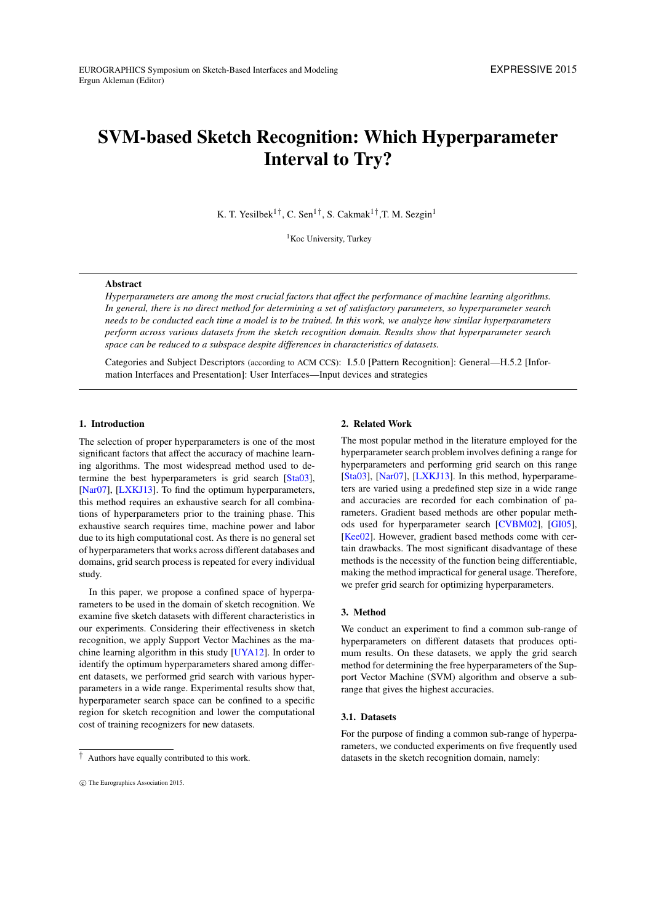# <span id="page-0-0"></span>SVM-based Sketch Recognition: Which Hyperparameter Interval to Try?

K. T. Yesilbek<sup>1†</sup>, C. Sen<sup>1†</sup>, S. Cakmak<sup>1†</sup>, T. M. Sezgin<sup>1</sup>

<sup>1</sup>Koc University, Turkey

# Abstract

*Hyperparameters are among the most crucial factors that affect the performance of machine learning algorithms. In general, there is no direct method for determining a set of satisfactory parameters, so hyperparameter search needs to be conducted each time a model is to be trained. In this work, we analyze how similar hyperparameters perform across various datasets from the sketch recognition domain. Results show that hyperparameter search space can be reduced to a subspace despite differences in characteristics of datasets.*

Categories and Subject Descriptors (according to ACM CCS): I.5.0 [Pattern Recognition]: General—H.5.2 [Information Interfaces and Presentation]: User Interfaces—Input devices and strategies

#### 1. Introduction

The selection of proper hyperparameters is one of the most significant factors that affect the accuracy of machine learning algorithms. The most widespread method used to determine the best hyperparameters is grid search [\[Sta03\]](#page-4-0), [\[Nar07\]](#page-4-1), [\[LXKJ13\]](#page-4-2). To find the optimum hyperparameters, this method requires an exhaustive search for all combinations of hyperparameters prior to the training phase. This exhaustive search requires time, machine power and labor due to its high computational cost. As there is no general set of hyperparameters that works across different databases and domains, grid search process is repeated for every individual study.

In this paper, we propose a confined space of hyperparameters to be used in the domain of sketch recognition. We examine five sketch datasets with different characteristics in our experiments. Considering their effectiveness in sketch recognition, we apply Support Vector Machines as the machine learning algorithm in this study [\[UYA12\]](#page-4-3). In order to identify the optimum hyperparameters shared among different datasets, we performed grid search with various hyperparameters in a wide range. Experimental results show that, hyperparameter search space can be confined to a specific region for sketch recognition and lower the computational cost of training recognizers for new datasets.

#### 2. Related Work

The most popular method in the literature employed for the hyperparameter search problem involves defining a range for hyperparameters and performing grid search on this range [\[Sta03\]](#page-4-0), [\[Nar07\]](#page-4-1), [\[LXKJ13\]](#page-4-2). In this method, hyperparameters are varied using a predefined step size in a wide range and accuracies are recorded for each combination of parameters. Gradient based methods are other popular methods used for hyperparameter search [\[CVBM02\]](#page-4-4), [\[GI05\]](#page-4-5), [\[Kee02\]](#page-4-6). However, gradient based methods come with certain drawbacks. The most significant disadvantage of these methods is the necessity of the function being differentiable, making the method impractical for general usage. Therefore, we prefer grid search for optimizing hyperparameters.

# 3. Method

We conduct an experiment to find a common sub-range of hyperparameters on different datasets that produces optimum results. On these datasets, we apply the grid search method for determining the free hyperparameters of the Support Vector Machine (SVM) algorithm and observe a subrange that gives the highest accuracies.

### 3.1. Datasets

For the purpose of finding a common sub-range of hyperparameters, we conducted experiments on five frequently used datasets in the sketch recognition domain, namely:

<sup>†</sup> Authors have equally contributed to this work.

c The Eurographics Association 2015.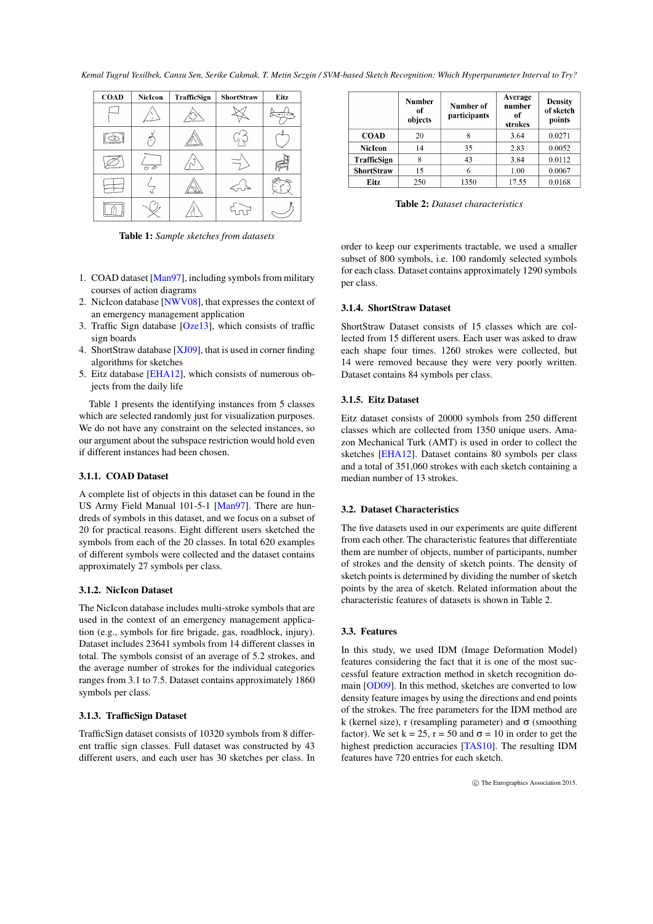<span id="page-1-0"></span>*Kemal Tugrul Yesilbek, Cansu Sen, Serike Cakmak, T. Metin Sezgin / SVM-based Sketch Recognition: Which Hyperparameter Interval to Try?*

| <b>COAD</b> | NicIcon            | TrafficSign | <b>ShortStraw</b> | Eitz |
|-------------|--------------------|-------------|-------------------|------|
|             |                    |             |                   |      |
| $\circ$     |                    |             |                   |      |
|             | $\overline{\circ}$ |             |                   |      |
|             |                    |             |                   |      |
|             |                    |             |                   |      |

Table 1: *Sample sketches from datasets*

- 1. COAD dataset [\[Man97\]](#page-4-7), including symbols from military courses of action diagrams
- 2. NicIcon database [\[NWV08\]](#page-4-8), that expresses the context of an emergency management application
- 3. Traffic Sign database [\[Oze13\]](#page-4-9), which consists of traffic sign boards
- 4. ShortStraw database [\[XJ09\]](#page-4-10), that is used in corner finding algorithms for sketches
- 5. Eitz database [\[EHA12\]](#page-4-11), which consists of numerous objects from the daily life

Table 1 presents the identifying instances from 5 classes which are selected randomly just for visualization purposes. We do not have any constraint on the selected instances, so our argument about the subspace restriction would hold even if different instances had been chosen.

# 3.1.1. COAD Dataset

A complete list of objects in this dataset can be found in the US Army Field Manual 101-5-1 [\[Man97\]](#page-4-7). There are hundreds of symbols in this dataset, and we focus on a subset of 20 for practical reasons. Eight different users sketched the symbols from each of the 20 classes. In total 620 examples of different symbols were collected and the dataset contains approximately 27 symbols per class.

#### 3.1.2. NicIcon Dataset

The NicIcon database includes multi-stroke symbols that are used in the context of an emergency management application (e.g., symbols for fire brigade, gas, roadblock, injury). Dataset includes 23641 symbols from 14 different classes in total. The symbols consist of an average of 5.2 strokes, and the average number of strokes for the individual categories ranges from 3.1 to 7.5. Dataset contains approximately 1860 symbols per class.

# 3.1.3. TrafficSign Dataset

TrafficSign dataset consists of 10320 symbols from 8 different traffic sign classes. Full dataset was constructed by 43 different users, and each user has 30 sketches per class. In

|                   | <b>Number</b><br>оf<br>objects | Number of<br>participants | Average<br>number<br>of<br>strokes | <b>Density</b><br>of sketch<br>points |
|-------------------|--------------------------------|---------------------------|------------------------------------|---------------------------------------|
| <b>COAD</b>       | 20                             |                           | 3.64                               | 0.0271                                |
| <b>NicIcon</b>    | 14                             | 35                        | 2.83                               | 0.0052                                |
| TrafficSign       | 8                              | 43                        | 3.84                               | 0.0112                                |
| <b>ShortStraw</b> | 15                             |                           | 1.00                               | 0.0067                                |
| Eitz              | 250                            | 1350                      | 17.55                              | 0.0168                                |

Table 2: *Dataset characteristics*

order to keep our experiments tractable, we used a smaller subset of 800 symbols, i.e. 100 randomly selected symbols for each class. Dataset contains approximately 1290 symbols per class.

## 3.1.4. ShortStraw Dataset

ShortStraw Dataset consists of 15 classes which are collected from 15 different users. Each user was asked to draw each shape four times. 1260 strokes were collected, but 14 were removed because they were very poorly written. Dataset contains 84 symbols per class.

#### 3.1.5. Eitz Dataset

Eitz dataset consists of 20000 symbols from 250 different classes which are collected from 1350 unique users. Amazon Mechanical Turk (AMT) is used in order to collect the sketches [\[EHA12\]](#page-4-11). Dataset contains 80 symbols per class and a total of 351,060 strokes with each sketch containing a median number of 13 strokes.

# 3.2. Dataset Characteristics

The five datasets used in our experiments are quite different from each other. The characteristic features that differentiate them are number of objects, number of participants, number of strokes and the density of sketch points. The density of sketch points is determined by dividing the number of sketch points by the area of sketch. Related information about the characteristic features of datasets is shown in Table 2.

# 3.3. Features

In this study, we used IDM (Image Deformation Model) features considering the fact that it is one of the most successful feature extraction method in sketch recognition domain [\[OD09\]](#page-4-12). In this method, sketches are converted to low density feature images by using the directions and end points of the strokes. The free parameters for the IDM method are k (kernel size), r (resampling parameter) and  $\sigma$  (smoothing factor). We set  $k = 25$ ,  $r = 50$  and  $\sigma = 10$  in order to get the highest prediction accuracies [\[TAS10\]](#page-4-13). The resulting IDM features have 720 entries for each sketch.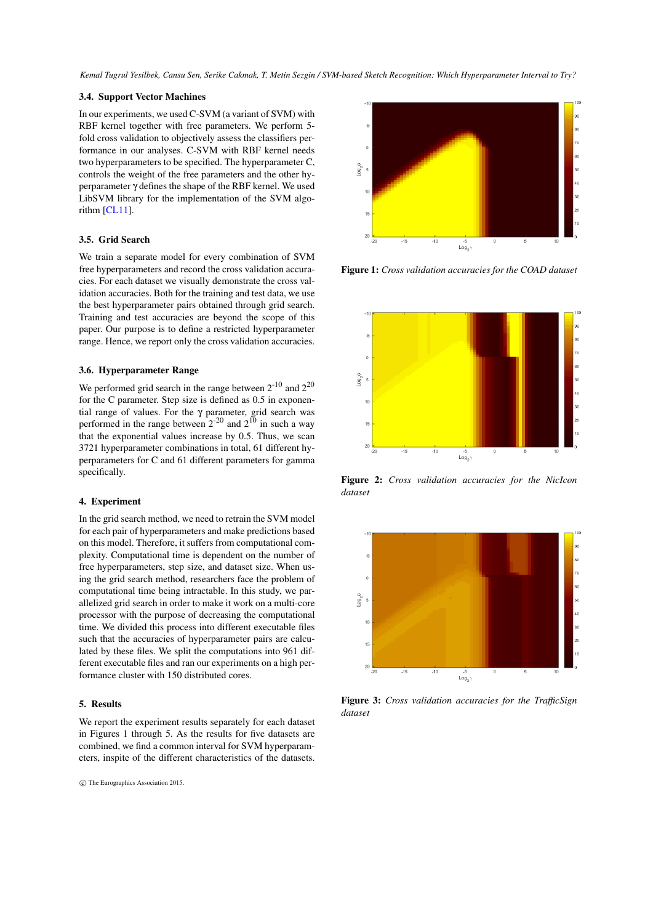<span id="page-2-0"></span>*Kemal Tugrul Yesilbek, Cansu Sen, Serike Cakmak, T. Metin Sezgin / SVM-based Sketch Recognition: Which Hyperparameter Interval to Try?*

#### 3.4. Support Vector Machines

In our experiments, we used C-SVM (a variant of SVM) with RBF kernel together with free parameters. We perform 5 fold cross validation to objectively assess the classifiers performance in our analyses. C-SVM with RBF kernel needs two hyperparameters to be specified. The hyperparameter C, controls the weight of the free parameters and the other hyperparameter γ defines the shape of the RBF kernel. We used LibSVM library for the implementation of the SVM algorithm [\[CL11\]](#page-4-14).

# 3.5. Grid Search

We train a separate model for every combination of SVM free hyperparameters and record the cross validation accuracies. For each dataset we visually demonstrate the cross validation accuracies. Both for the training and test data, we use the best hyperparameter pairs obtained through grid search. Training and test accuracies are beyond the scope of this paper. Our purpose is to define a restricted hyperparameter range. Hence, we report only the cross validation accuracies.

# 3.6. Hyperparameter Range

We performed grid search in the range between  $2^{-10}$  and  $2^{20}$ for the C parameter. Step size is defined as 0.5 in exponential range of values. For the γ parameter, grid search was performed in the range between  $2^{-20}$  and  $2^{10}$  in such a way that the exponential values increase by 0.5. Thus, we scan 3721 hyperparameter combinations in total, 61 different hyperparameters for C and 61 different parameters for gamma specifically.

## 4. Experiment

In the grid search method, we need to retrain the SVM model for each pair of hyperparameters and make predictions based on this model. Therefore, it suffers from computational complexity. Computational time is dependent on the number of free hyperparameters, step size, and dataset size. When using the grid search method, researchers face the problem of computational time being intractable. In this study, we parallelized grid search in order to make it work on a multi-core processor with the purpose of decreasing the computational time. We divided this process into different executable files such that the accuracies of hyperparameter pairs are calculated by these files. We split the computations into 961 different executable files and ran our experiments on a high performance cluster with 150 distributed cores.

#### 5. Results

We report the experiment results separately for each dataset in Figures 1 through 5. As the results for five datasets are combined, we find a common interval for SVM hyperparameters, inspite of the different characteristics of the datasets.

c The Eurographics Association 2015.



Figure 1: *Cross validation accuracies for the COAD dataset*



Figure 2: *Cross validation accuracies for the NicIcon dataset*



Figure 3: *Cross validation accuracies for the TrafficSign dataset*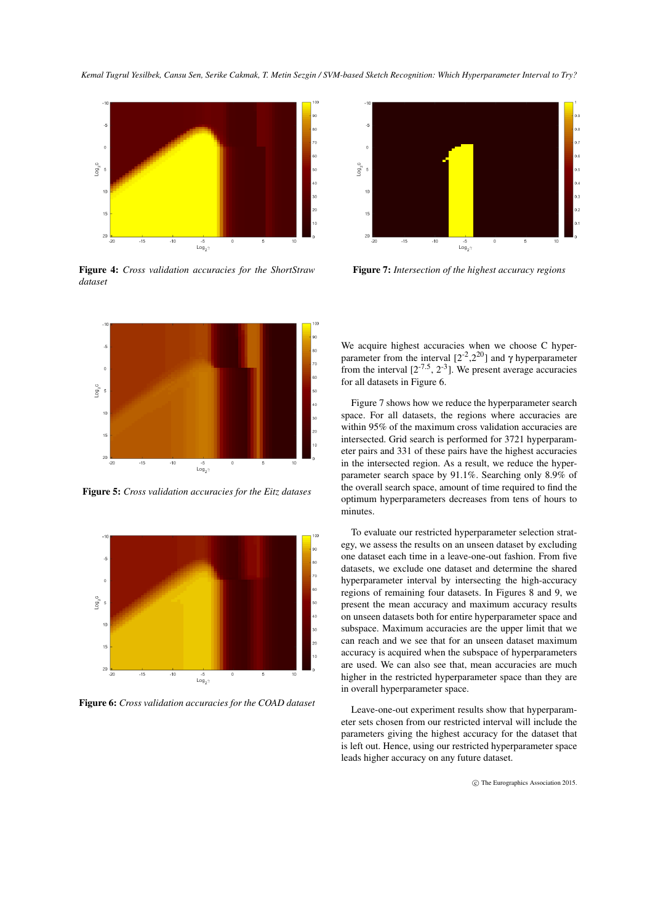*Kemal Tugrul Yesilbek, Cansu Sen, Serike Cakmak, T. Metin Sezgin / SVM-based Sketch Recognition: Which Hyperparameter Interval to Try?*



Figure 4: *Cross validation accuracies for the ShortStraw dataset*



Figure 5: *Cross validation accuracies for the Eitz datases*



Figure 6: *Cross validation accuracies for the COAD dataset*



Figure 7: *Intersection of the highest accuracy regions*

We acquire highest accuracies when we choose C hyperparameter from the interval  $[2<sup>2</sup>,2<sup>20</sup>]$  and γ hyperparameter from the interval  $[2^{-7.5}, 2^{-3}]$ . We present average accuracies for all datasets in Figure 6.

Figure 7 shows how we reduce the hyperparameter search space. For all datasets, the regions where accuracies are within 95% of the maximum cross validation accuracies are intersected. Grid search is performed for 3721 hyperparameter pairs and 331 of these pairs have the highest accuracies in the intersected region. As a result, we reduce the hyperparameter search space by 91.1%. Searching only 8.9% of the overall search space, amount of time required to find the optimum hyperparameters decreases from tens of hours to minutes.

To evaluate our restricted hyperparameter selection strategy, we assess the results on an unseen dataset by excluding one dataset each time in a leave-one-out fashion. From five datasets, we exclude one dataset and determine the shared hyperparameter interval by intersecting the high-accuracy regions of remaining four datasets. In Figures 8 and 9, we present the mean accuracy and maximum accuracy results on unseen datasets both for entire hyperparameter space and subspace. Maximum accuracies are the upper limit that we can reach and we see that for an unseen dataset maximum accuracy is acquired when the subspace of hyperparameters are used. We can also see that, mean accuracies are much higher in the restricted hyperparameter space than they are in overall hyperparameter space.

Leave-one-out experiment results show that hyperparameter sets chosen from our restricted interval will include the parameters giving the highest accuracy for the dataset that is left out. Hence, using our restricted hyperparameter space leads higher accuracy on any future dataset.